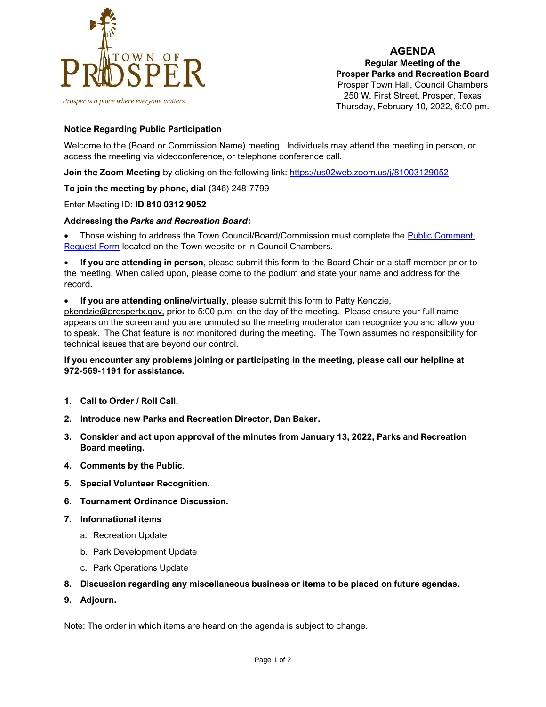

*Prosper is a place where everyone matters.*

**AGENDA Regular Meeting of the Prosper Parks and Recreation Board** Prosper Town Hall, Council Chambers 250 W. First Street, Prosper, Texas Thursday, February 10, 2022, 6:00 pm.

### **Notice Regarding Public Participation**

Welcome to the (Board or Commission Name) meeting. Individuals may attend the meeting in person, or access the meeting via videoconference, or telephone conference call.

**Join the Zoom Meeting** by clicking on the following link:<https://us02web.zoom.us/j/81003129052>

**To join the meeting by phone, dial** (346) 248-7799

Enter Meeting ID: **ID 810 0312 9052**

#### **Addressing the** *Parks and Recreation Board***:**

• Those wishing to address the Town Council/Board/Commission must complete the [Public Comment](https://www.prospertx.gov/wp-content/uploads/Public-Mtg-Card-Side-1-2-Combined_virtual_fillable-4.pdf)  [Request Form](https://www.prospertx.gov/wp-content/uploads/Public-Mtg-Card-Side-1-2-Combined_virtual_fillable-4.pdf) located on the Town website or in Council Chambers.

• **If you are attending in person**, please submit this form to the Board Chair or a staff member prior to the meeting. When called upon, please come to the podium and state your name and address for the record.

• **If you are attending online/virtually**, please submit this form to Patty Kendzie,

[pkendzie@prospertx.gov,](mailto:pkendzie@prospertx.gov) prior to 5:00 p.m. on the day of the meeting. Please ensure your full name appears on the screen and you are unmuted so the meeting moderator can recognize you and allow you to speak. The Chat feature is not monitored during the meeting. The Town assumes no responsibility for technical issues that are beyond our control.

### **If you encounter any problems joining or participating in the meeting, please call our helpline at 972-569-1191 for assistance.**

- **1. Call to Order / Roll Call.**
- **2. Introduce new Parks and Recreation Director, Dan Baker.**
- **3. Consider and act upon approval of the minutes from January 13, 2022, Parks and Recreation Board meeting.**
- **4. Comments by the Public**.
- **5. Special Volunteer Recognition.**
- **6. Tournament Ordinance Discussion.**
- **7. Informational items**
	- a. Recreation Update
	- b. Park Development Update
	- c. Park Operations Update
- **8. Discussion regarding any miscellaneous business or items to be placed on future agendas.**
- **9. Adjourn.**

Note: The order in which items are heard on the agenda is subject to change.